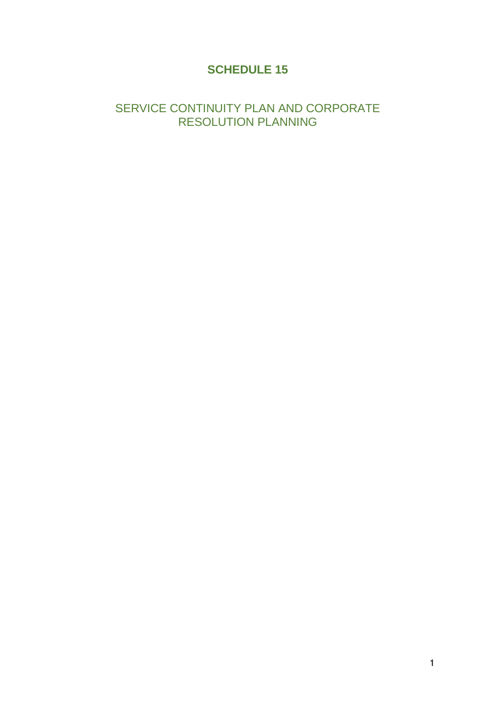# **SCHEDULE 15**

## SERVICE CONTINUITY PLAN AND CORPORATE RESOLUTION PLANNING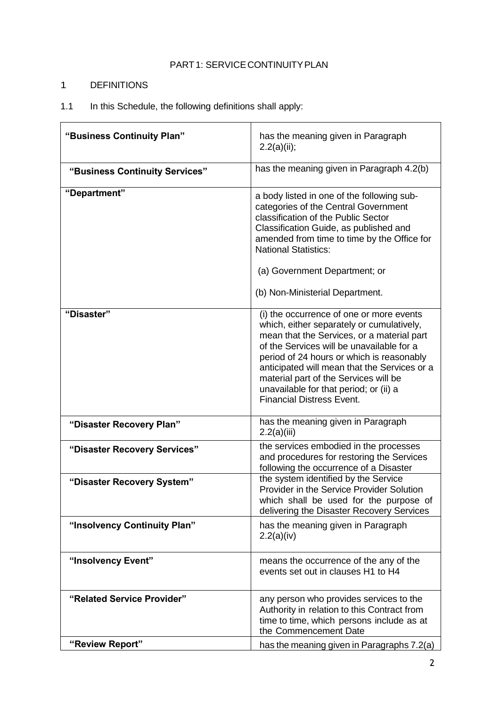## PART1: SERVICE CONTINUITY PLAN

## 1 DEFINITIONS

## 1.1 In this Schedule, the following definitions shall apply:

| "Business Continuity Plan"     | has the meaning given in Paragraph<br>2.2(a)(ii);                                                                                                                                                                                                                                                                                                                                                    |
|--------------------------------|------------------------------------------------------------------------------------------------------------------------------------------------------------------------------------------------------------------------------------------------------------------------------------------------------------------------------------------------------------------------------------------------------|
| "Business Continuity Services" | has the meaning given in Paragraph 4.2(b)                                                                                                                                                                                                                                                                                                                                                            |
| "Department"                   | a body listed in one of the following sub-<br>categories of the Central Government<br>classification of the Public Sector<br>Classification Guide, as published and<br>amended from time to time by the Office for<br><b>National Statistics:</b><br>(a) Government Department; or<br>(b) Non-Ministerial Department.                                                                                |
| "Disaster"                     | (i) the occurrence of one or more events<br>which, either separately or cumulatively,<br>mean that the Services, or a material part<br>of the Services will be unavailable for a<br>period of 24 hours or which is reasonably<br>anticipated will mean that the Services or a<br>material part of the Services will be<br>unavailable for that period; or (ii) a<br><b>Financial Distress Event.</b> |
| "Disaster Recovery Plan"       | has the meaning given in Paragraph<br>2.2(a)(iii)                                                                                                                                                                                                                                                                                                                                                    |
| "Disaster Recovery Services"   | the services embodied in the processes<br>and procedures for restoring the Services<br>following the occurrence of a Disaster                                                                                                                                                                                                                                                                        |
| "Disaster Recovery System"     | the system identified by the Service<br>Provider in the Service Provider Solution<br>which shall be used for the purpose of<br>delivering the Disaster Recovery Services                                                                                                                                                                                                                             |
| "Insolvency Continuity Plan"   | has the meaning given in Paragraph<br>2.2(a)(iv)                                                                                                                                                                                                                                                                                                                                                     |
| "Insolvency Event"             | means the occurrence of the any of the<br>events set out in clauses H1 to H4                                                                                                                                                                                                                                                                                                                         |
| "Related Service Provider"     | any person who provides services to the<br>Authority in relation to this Contract from<br>time to time, which persons include as at<br>the Commencement Date                                                                                                                                                                                                                                         |
| "Review Report"                | has the meaning given in Paragraphs 7.2(a)                                                                                                                                                                                                                                                                                                                                                           |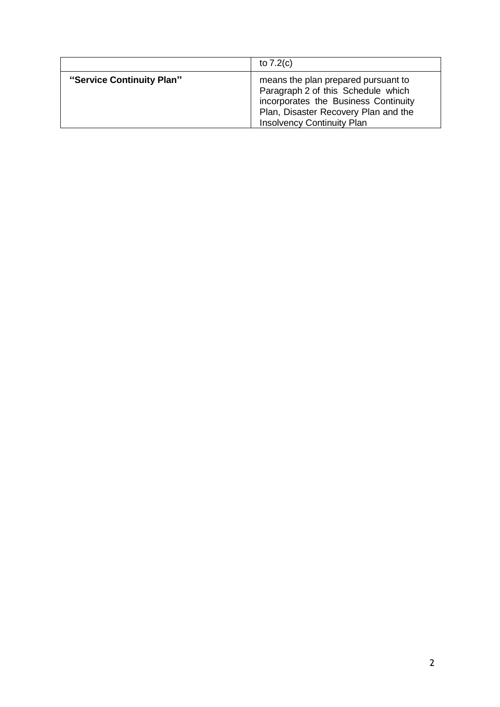|                           | to $7.2(c)$                                                                                                                                                                                    |
|---------------------------|------------------------------------------------------------------------------------------------------------------------------------------------------------------------------------------------|
| "Service Continuity Plan" | means the plan prepared pursuant to<br>Paragraph 2 of this Schedule which<br>incorporates the Business Continuity<br>Plan, Disaster Recovery Plan and the<br><b>Insolvency Continuity Plan</b> |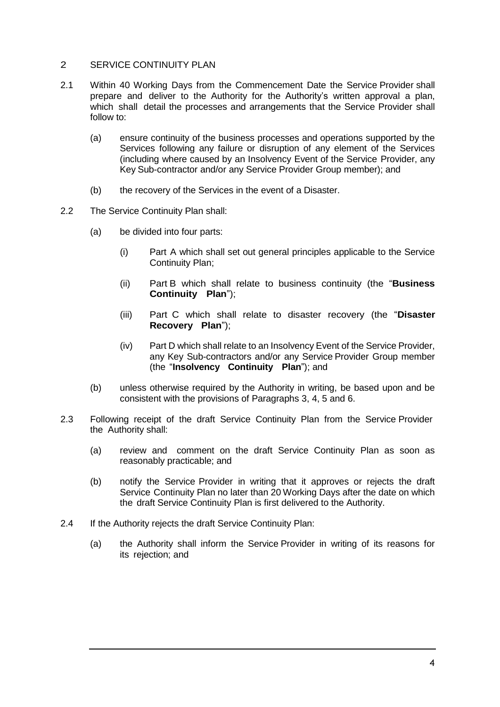## 2 SERVICE CONTINUITY PLAN

- 2.1 Within 40 Working Days from the Commencement Date the Service Provider shall prepare and deliver to the Authority for the Authority's written approval a plan, which shall detail the processes and arrangements that the Service Provider shall follow to:
	- (a) ensure continuity of the business processes and operations supported by the Services following any failure or disruption of any element of the Services (including where caused by an Insolvency Event of the Service Provider, any Key Sub-contractor and/or any Service Provider Group member); and
	- (b) the recovery of the Services in the event of a Disaster.
- 2.2 The Service Continuity Plan shall:
	- (a) be divided into four parts:
		- (i) Part A which shall set out general principles applicable to the Service Continuity Plan;
		- (ii) Part B which shall relate to business continuity (the "**Business Continuity Plan**");
		- (iii) Part C which shall relate to disaster recovery (the "**Disaster Recovery Plan**");
		- (iv) Part D which shall relate to an Insolvency Event of the Service Provider, any Key Sub-contractors and/or any Service Provider Group member (the "**Insolvency Continuity Plan**"); and
	- (b) unless otherwise required by the Authority in writing, be based upon and be consistent with the provisions of Paragraphs 3, 4, 5 and 6.
- 2.3 Following receipt of the draft Service Continuity Plan from the Service Provider the Authority shall:
	- (a) review and comment on the draft Service Continuity Plan as soon as reasonably practicable; and
	- (b) notify the Service Provider in writing that it approves or rejects the draft Service Continuity Plan no later than 20 Working Days after the date on which the draft Service Continuity Plan is first delivered to the Authority.
- 2.4 If the Authority rejects the draft Service Continuity Plan:
	- (a) the Authority shall inform the Service Provider in writing of its reasons for its rejection; and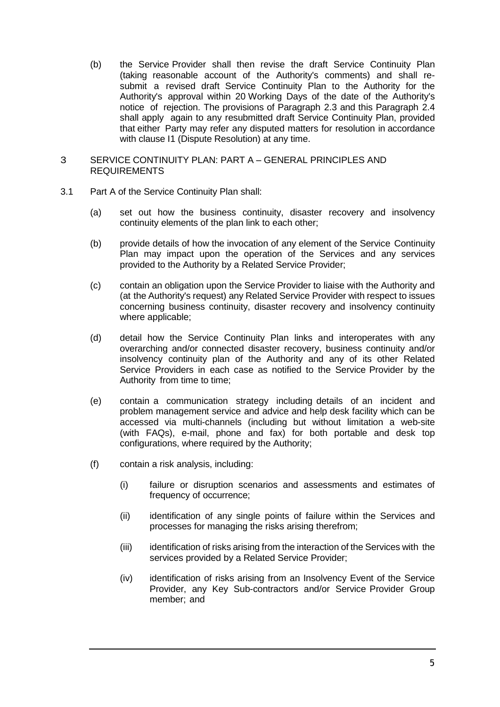(b) the Service Provider shall then revise the draft Service Continuity Plan (taking reasonable account of the Authority's comments) and shall resubmit a revised draft Service Continuity Plan to the Authority for the Authority's approval within 20 Working Days of the date of the Authority's notice of rejection. The provisions of Paragraph 2.3 and this Paragraph 2.4 shall apply again to any resubmitted draft Service Continuity Plan, provided that either Party may refer any disputed matters for resolution in accordance with clause I1 (Dispute Resolution) at any time.

#### 3 SERVICE CONTINUITY PLAN: PART A – GENERAL PRINCIPLES AND REQUIREMENTS

- 3.1 Part A of the Service Continuity Plan shall:
	- (a) set out how the business continuity, disaster recovery and insolvency continuity elements of the plan link to each other;
	- (b) provide details of how the invocation of any element of the Service Continuity Plan may impact upon the operation of the Services and any services provided to the Authority by a Related Service Provider;
	- (c) contain an obligation upon the Service Provider to liaise with the Authority and (at the Authority's request) any Related Service Provider with respect to issues concerning business continuity, disaster recovery and insolvency continuity where applicable;
	- (d) detail how the Service Continuity Plan links and interoperates with any overarching and/or connected disaster recovery, business continuity and/or insolvency continuity plan of the Authority and any of its other Related Service Providers in each case as notified to the Service Provider by the Authority from time to time;
	- (e) contain a communication strategy including details of an incident and problem management service and advice and help desk facility which can be accessed via multi-channels (including but without limitation a web-site (with FAQs), e-mail, phone and fax) for both portable and desk top configurations, where required by the Authority;
	- (f) contain a risk analysis, including:
		- (i) failure or disruption scenarios and assessments and estimates of frequency of occurrence;
		- (ii) identification of any single points of failure within the Services and processes for managing the risks arising therefrom;
		- (iii) identification of risks arising from the interaction of the Services with the services provided by a Related Service Provider;
		- (iv) identification of risks arising from an Insolvency Event of the Service Provider, any Key Sub-contractors and/or Service Provider Group member; and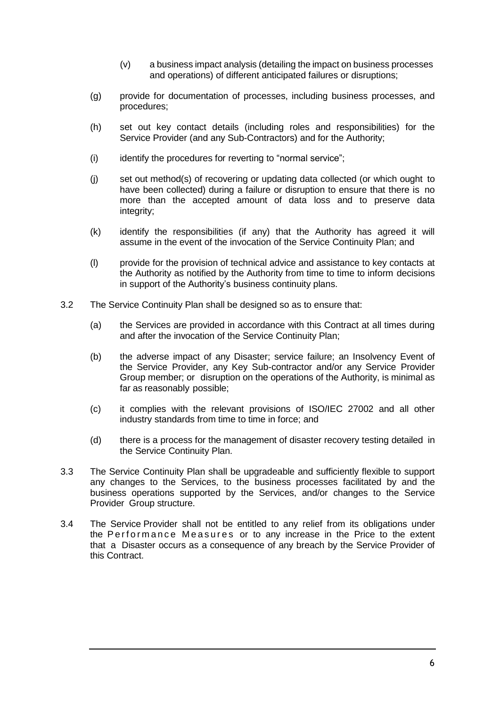- (v) a business impact analysis (detailing the impact on business processes and operations) of different anticipated failures or disruptions;
- (g) provide for documentation of processes, including business processes, and procedures;
- (h) set out key contact details (including roles and responsibilities) for the Service Provider (and any Sub-Contractors) and for the Authority;
- (i) identify the procedures for reverting to "normal service";
- (j) set out method(s) of recovering or updating data collected (or which ought to have been collected) during a failure or disruption to ensure that there is no more than the accepted amount of data loss and to preserve data integrity;
- (k) identify the responsibilities (if any) that the Authority has agreed it will assume in the event of the invocation of the Service Continuity Plan; and
- (l) provide for the provision of technical advice and assistance to key contacts at the Authority as notified by the Authority from time to time to inform decisions in support of the Authority's business continuity plans.
- 3.2 The Service Continuity Plan shall be designed so as to ensure that:
	- (a) the Services are provided in accordance with this Contract at all times during and after the invocation of the Service Continuity Plan;
	- (b) the adverse impact of any Disaster; service failure; an Insolvency Event of the Service Provider, any Key Sub-contractor and/or any Service Provider Group member; or disruption on the operations of the Authority, is minimal as far as reasonably possible;
	- (c) it complies with the relevant provisions of ISO/IEC 27002 and all other industry standards from time to time in force; and
	- (d) there is a process for the management of disaster recovery testing detailed in the Service Continuity Plan.
- 3.3 The Service Continuity Plan shall be upgradeable and sufficiently flexible to support any changes to the Services, to the business processes facilitated by and the business operations supported by the Services, and/or changes to the Service Provider Group structure.
- 3.4 The Service Provider shall not be entitled to any relief from its obligations under the Performance Measures or to any increase in the Price to the extent that a Disaster occurs as a consequence of any breach by the Service Provider of this Contract.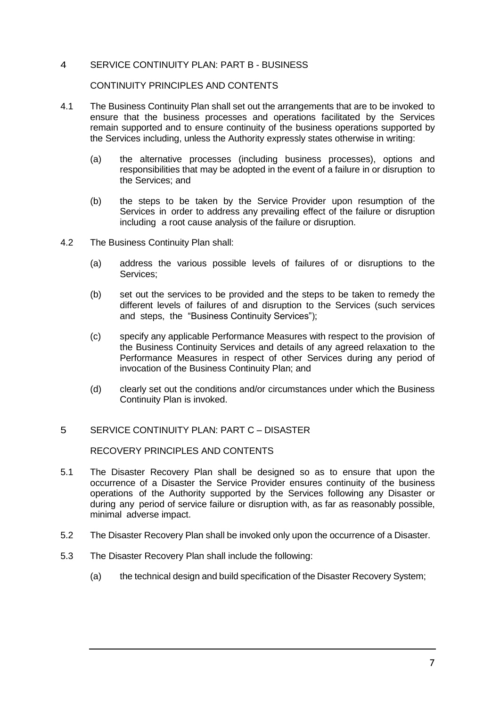### 4 SERVICE CONTINUITY PLAN: PART B - BUSINESS

#### CONTINUITY PRINCIPLES AND CONTENTS

- 4.1 The Business Continuity Plan shall set out the arrangements that are to be invoked to ensure that the business processes and operations facilitated by the Services remain supported and to ensure continuity of the business operations supported by the Services including, unless the Authority expressly states otherwise in writing:
	- (a) the alternative processes (including business processes), options and responsibilities that may be adopted in the event of a failure in or disruption to the Services; and
	- (b) the steps to be taken by the Service Provider upon resumption of the Services in order to address any prevailing effect of the failure or disruption including a root cause analysis of the failure or disruption.
- 4.2 The Business Continuity Plan shall:
	- (a) address the various possible levels of failures of or disruptions to the Services;
	- (b) set out the services to be provided and the steps to be taken to remedy the different levels of failures of and disruption to the Services (such services and steps, the "Business Continuity Services");
	- (c) specify any applicable Performance Measures with respect to the provision of the Business Continuity Services and details of any agreed relaxation to the Performance Measures in respect of other Services during any period of invocation of the Business Continuity Plan; and
	- (d) clearly set out the conditions and/or circumstances under which the Business Continuity Plan is invoked.

#### 5 SERVICE CONTINUITY PLAN: PART C – DISASTER

RECOVERY PRINCIPLES AND CONTENTS

- 5.1 The Disaster Recovery Plan shall be designed so as to ensure that upon the occurrence of a Disaster the Service Provider ensures continuity of the business operations of the Authority supported by the Services following any Disaster or during any period of service failure or disruption with, as far as reasonably possible, minimal adverse impact.
- 5.2 The Disaster Recovery Plan shall be invoked only upon the occurrence of a Disaster.
- 5.3 The Disaster Recovery Plan shall include the following:
	- (a) the technical design and build specification of the Disaster Recovery System;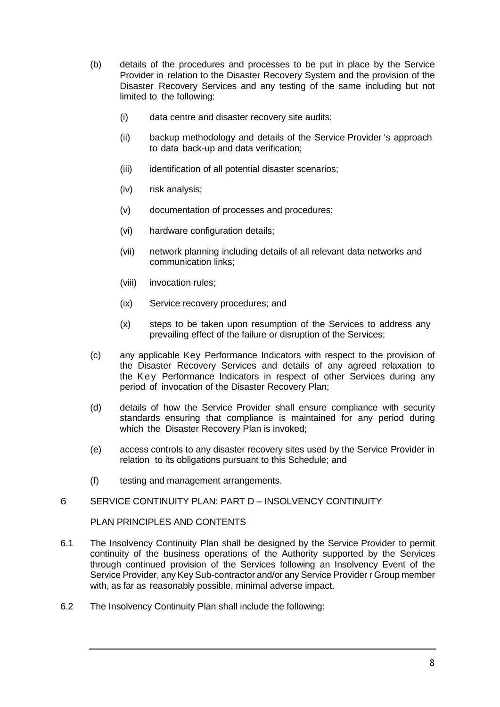- (b) details of the procedures and processes to be put in place by the Service Provider in relation to the Disaster Recovery System and the provision of the Disaster Recovery Services and any testing of the same including but not limited to the following:
	- (i) data centre and disaster recovery site audits;
	- (ii) backup methodology and details of the Service Provider 's approach to data back-up and data verification;
	- (iii) identification of all potential disaster scenarios;
	- (iv) risk analysis;
	- (v) documentation of processes and procedures;
	- (vi) hardware configuration details;
	- (vii) network planning including details of all relevant data networks and communication links;
	- (viii) invocation rules;
	- (ix) Service recovery procedures; and
	- (x) steps to be taken upon resumption of the Services to address any prevailing effect of the failure or disruption of the Services;
- (c) any applicable Key Performance Indicators with respect to the provision of the Disaster Recovery Services and details of any agreed relaxation to the Key Performance Indicators in respect of other Services during any period of invocation of the Disaster Recovery Plan;
- (d) details of how the Service Provider shall ensure compliance with security standards ensuring that compliance is maintained for any period during which the Disaster Recovery Plan is invoked;
- (e) access controls to any disaster recovery sites used by the Service Provider in relation to its obligations pursuant to this Schedule; and
- (f) testing and management arrangements.

#### 6 SERVICE CONTINUITY PLAN: PART D – INSOLVENCY CONTINUITY

PLAN PRINCIPLES AND CONTENTS

- 6.1 The Insolvency Continuity Plan shall be designed by the Service Provider to permit continuity of the business operations of the Authority supported by the Services through continued provision of the Services following an Insolvency Event of the Service Provider, any Key Sub-contractor and/or any Service Provider r Group member with, as far as reasonably possible, minimal adverse impact.
- 6.2 The Insolvency Continuity Plan shall include the following: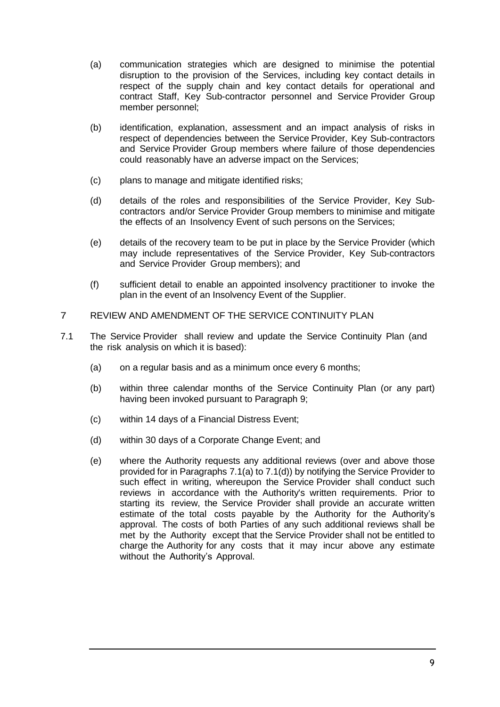- (a) communication strategies which are designed to minimise the potential disruption to the provision of the Services, including key contact details in respect of the supply chain and key contact details for operational and contract Staff, Key Sub-contractor personnel and Service Provider Group member personnel;
- (b) identification, explanation, assessment and an impact analysis of risks in respect of dependencies between the Service Provider, Key Sub-contractors and Service Provider Group members where failure of those dependencies could reasonably have an adverse impact on the Services;
- (c) plans to manage and mitigate identified risks;
- (d) details of the roles and responsibilities of the Service Provider, Key Subcontractors and/or Service Provider Group members to minimise and mitigate the effects of an Insolvency Event of such persons on the Services;
- (e) details of the recovery team to be put in place by the Service Provider (which may include representatives of the Service Provider, Key Sub-contractors and Service Provider Group members); and
- (f) sufficient detail to enable an appointed insolvency practitioner to invoke the plan in the event of an Insolvency Event of the Supplier.

### 7 REVIEW AND AMENDMENT OF THE SERVICE CONTINUITY PLAN

- 7.1 The Service Provider shall review and update the Service Continuity Plan (and the risk analysis on which it is based):
	- (a) on a regular basis and as a minimum once every 6 months;
	- (b) within three calendar months of the Service Continuity Plan (or any part) having been invoked pursuant to Paragraph 9;
	- (c) within 14 days of a Financial Distress Event;
	- (d) within 30 days of a Corporate Change Event; and
	- (e) where the Authority requests any additional reviews (over and above those provided for in Paragraphs 7.1(a) to 7.1(d)) by notifying the Service Provider to such effect in writing, whereupon the Service Provider shall conduct such reviews in accordance with the Authority's written requirements. Prior to starting its review, the Service Provider shall provide an accurate written estimate of the total costs payable by the Authority for the Authority's approval. The costs of both Parties of any such additional reviews shall be met by the Authority except that the Service Provider shall not be entitled to charge the Authority for any costs that it may incur above any estimate without the Authority's Approval.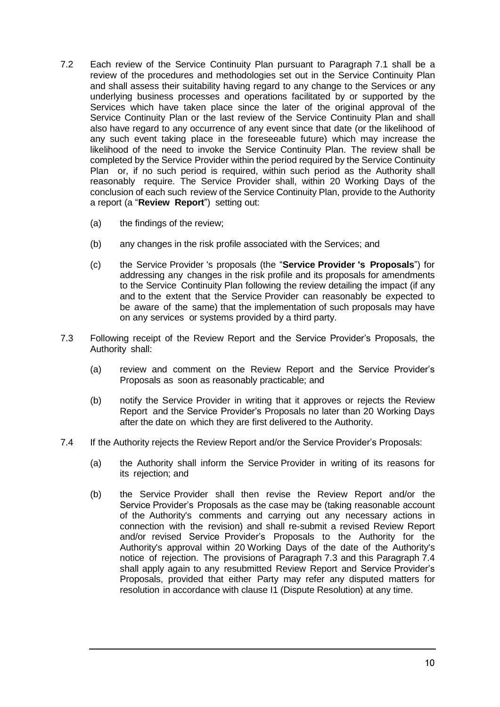- 7.2 Each review of the Service Continuity Plan pursuant to Paragraph 7.1 shall be a review of the procedures and methodologies set out in the Service Continuity Plan and shall assess their suitability having regard to any change to the Services or any underlying business processes and operations facilitated by or supported by the Services which have taken place since the later of the original approval of the Service Continuity Plan or the last review of the Service Continuity Plan and shall also have regard to any occurrence of any event since that date (or the likelihood of any such event taking place in the foreseeable future) which may increase the likelihood of the need to invoke the Service Continuity Plan. The review shall be completed by the Service Provider within the period required by the Service Continuity Plan or, if no such period is required, within such period as the Authority shall reasonably require. The Service Provider shall, within 20 Working Days of the conclusion of each such review of the Service Continuity Plan, provide to the Authority a report (a "**Review Report**") setting out:
	- (a) the findings of the review;
	- (b) any changes in the risk profile associated with the Services; and
	- (c) the Service Provider 's proposals (the "**Service Provider 's Proposals**") for addressing any changes in the risk profile and its proposals for amendments to the Service Continuity Plan following the review detailing the impact (if any and to the extent that the Service Provider can reasonably be expected to be aware of the same) that the implementation of such proposals may have on any services or systems provided by a third party.
- 7.3 Following receipt of the Review Report and the Service Provider's Proposals, the Authority shall:
	- (a) review and comment on the Review Report and the Service Provider's Proposals as soon as reasonably practicable; and
	- (b) notify the Service Provider in writing that it approves or rejects the Review Report and the Service Provider's Proposals no later than 20 Working Days after the date on which they are first delivered to the Authority.
- 7.4 If the Authority rejects the Review Report and/or the Service Provider's Proposals:
	- (a) the Authority shall inform the Service Provider in writing of its reasons for its rejection; and
	- (b) the Service Provider shall then revise the Review Report and/or the Service Provider's Proposals as the case may be (taking reasonable account of the Authority's comments and carrying out any necessary actions in connection with the revision) and shall re-submit a revised Review Report and/or revised Service Provider's Proposals to the Authority for the Authority's approval within 20 Working Days of the date of the Authority's notice of rejection. The provisions of Paragraph 7.3 and this Paragraph 7.4 shall apply again to any resubmitted Review Report and Service Provider's Proposals, provided that either Party may refer any disputed matters for resolution in accordance with clause I1 (Dispute Resolution) at any time.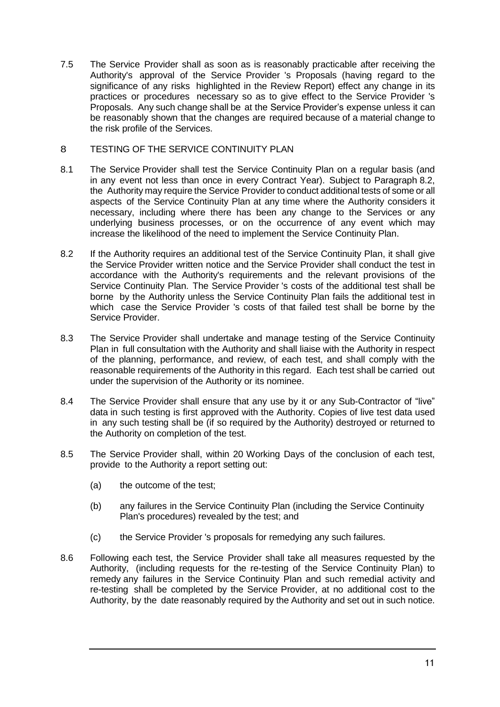7.5 The Service Provider shall as soon as is reasonably practicable after receiving the Authority's approval of the Service Provider 's Proposals (having regard to the significance of any risks highlighted in the Review Report) effect any change in its practices or procedures necessary so as to give effect to the Service Provider 's Proposals. Any such change shall be at the Service Provider's expense unless it can be reasonably shown that the changes are required because of a material change to the risk profile of the Services.

## 8 TESTING OF THE SERVICE CONTINUITY PLAN

- 8.1 The Service Provider shall test the Service Continuity Plan on a regular basis (and in any event not less than once in every Contract Year). Subject to Paragraph 8.2, the Authority may require the Service Provider to conduct additional tests of some or all aspects of the Service Continuity Plan at any time where the Authority considers it necessary, including where there has been any change to the Services or any underlying business processes, or on the occurrence of any event which may increase the likelihood of the need to implement the Service Continuity Plan.
- 8.2 If the Authority requires an additional test of the Service Continuity Plan, it shall give the Service Provider written notice and the Service Provider shall conduct the test in accordance with the Authority's requirements and the relevant provisions of the Service Continuity Plan. The Service Provider 's costs of the additional test shall be borne by the Authority unless the Service Continuity Plan fails the additional test in which case the Service Provider 's costs of that failed test shall be borne by the Service Provider.
- 8.3 The Service Provider shall undertake and manage testing of the Service Continuity Plan in full consultation with the Authority and shall liaise with the Authority in respect of the planning, performance, and review, of each test, and shall comply with the reasonable requirements of the Authority in this regard. Each test shall be carried out under the supervision of the Authority or its nominee.
- 8.4 The Service Provider shall ensure that any use by it or any Sub-Contractor of "live" data in such testing is first approved with the Authority. Copies of live test data used in any such testing shall be (if so required by the Authority) destroyed or returned to the Authority on completion of the test.
- 8.5 The Service Provider shall, within 20 Working Days of the conclusion of each test, provide to the Authority a report setting out:
	- (a) the outcome of the test;
	- (b) any failures in the Service Continuity Plan (including the Service Continuity Plan's procedures) revealed by the test; and
	- (c) the Service Provider 's proposals for remedying any such failures.
- 8.6 Following each test, the Service Provider shall take all measures requested by the Authority, (including requests for the re-testing of the Service Continuity Plan) to remedy any failures in the Service Continuity Plan and such remedial activity and re-testing shall be completed by the Service Provider, at no additional cost to the Authority, by the date reasonably required by the Authority and set out in such notice.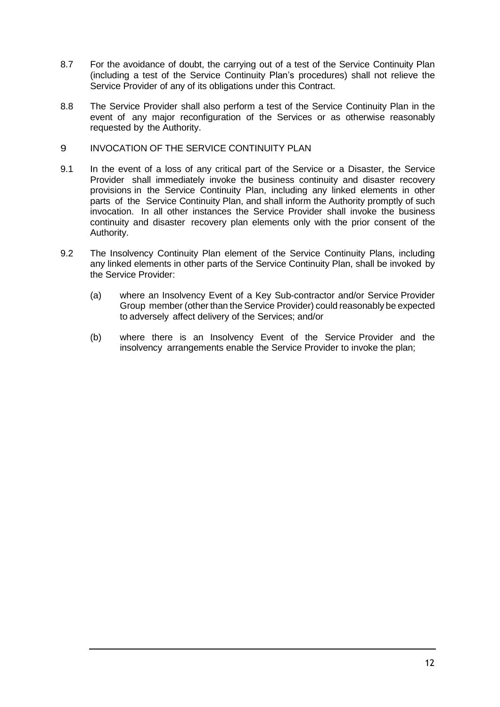- 8.7 For the avoidance of doubt, the carrying out of a test of the Service Continuity Plan (including a test of the Service Continuity Plan's procedures) shall not relieve the Service Provider of any of its obligations under this Contract.
- 8.8 The Service Provider shall also perform a test of the Service Continuity Plan in the event of any major reconfiguration of the Services or as otherwise reasonably requested by the Authority.
- 9 INVOCATION OF THE SERVICE CONTINUITY PLAN
- 9.1 In the event of a loss of any critical part of the Service or a Disaster, the Service Provider shall immediately invoke the business continuity and disaster recovery provisions in the Service Continuity Plan, including any linked elements in other parts of the Service Continuity Plan, and shall inform the Authority promptly of such invocation. In all other instances the Service Provider shall invoke the business continuity and disaster recovery plan elements only with the prior consent of the Authority.
- 9.2 The Insolvency Continuity Plan element of the Service Continuity Plans, including any linked elements in other parts of the Service Continuity Plan, shall be invoked by the Service Provider:
	- (a) where an Insolvency Event of a Key Sub-contractor and/or Service Provider Group member (other than the Service Provider) could reasonably be expected to adversely affect delivery of the Services; and/or
	- (b) where there is an Insolvency Event of the Service Provider and the insolvency arrangements enable the Service Provider to invoke the plan;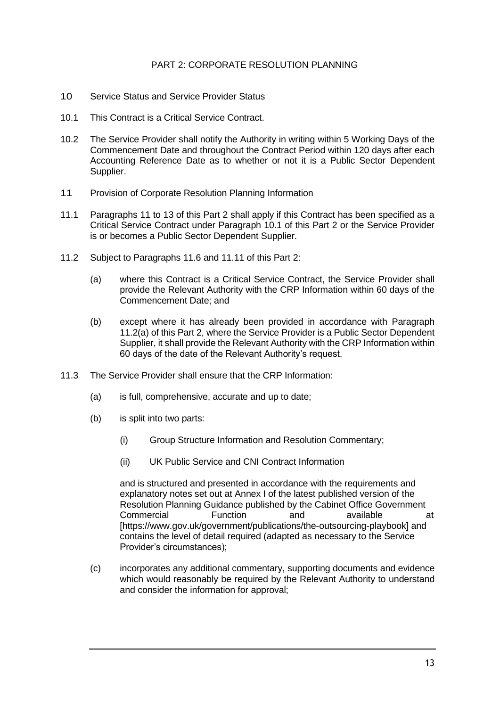## PART 2: CORPORATE RESOLUTION PLANNING

- 10 Service Status and Service Provider Status
- 10.1 This Contract is a Critical Service Contract.
- 10.2 The Service Provider shall notify the Authority in writing within 5 Working Days of the Commencement Date and throughout the Contract Period within 120 days after each Accounting Reference Date as to whether or not it is a Public Sector Dependent Supplier.
- 11 Provision of Corporate Resolution Planning Information
- 11.1 Paragraphs 11 to 13 of this Part 2 shall apply if this Contract has been specified as a Critical Service Contract under Paragraph 10.1 of this Part 2 or the Service Provider is or becomes a Public Sector Dependent Supplier.
- 11.2 Subject to Paragraphs 11.6 and 11.11 of this Part 2:
	- (a) where this Contract is a Critical Service Contract, the Service Provider shall provide the Relevant Authority with the CRP Information within 60 days of the Commencement Date; and
	- (b) except where it has already been provided in accordance with Paragraph 11.2(a) of this Part 2, where the Service Provider is a Public Sector Dependent Supplier, it shall provide the Relevant Authority with the CRP Information within 60 days of the date of the Relevant Authority's request.
- 11.3 The Service Provider shall ensure that the CRP Information:
	- (a) is full, comprehensive, accurate and up to date;
	- (b) is split into two parts:
		- (i) Group Structure Information and Resolution Commentary;
		- (ii) UK Public Service and CNI Contract Information

and is structured and presented in accordance with the requirements and explanatory notes set out at Annex I of the latest published version of the Resolution Planning Guidance published by the Cabinet Office Government Commercial Function and available at [https://www.gov.uk/government/publications/the-outsourcing-playbook] and contains the level of detail required (adapted as necessary to the Service Provider's circumstances);

(c) incorporates any additional commentary, supporting documents and evidence which would reasonably be required by the Relevant Authority to understand and consider the information for approval;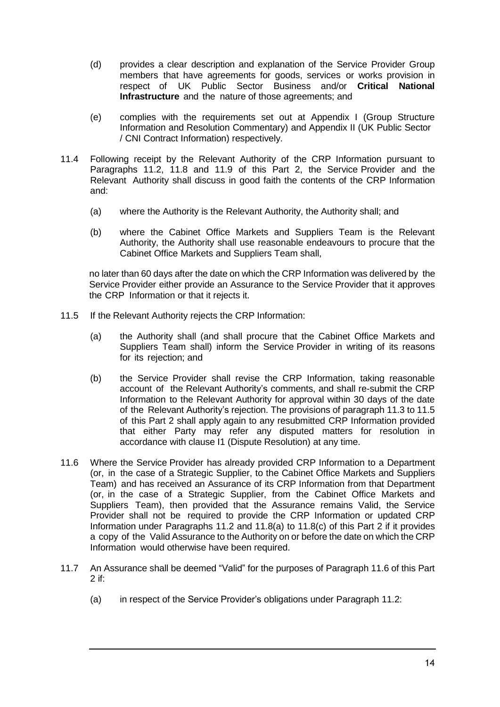- (d) provides a clear description and explanation of the Service Provider Group members that have agreements for goods, services or works provision in respect of UK Public Sector Business and/or **Critical National Infrastructure** and the nature of those agreements; and
- (e) complies with the requirements set out at Appendix I (Group Structure Information and Resolution Commentary) and Appendix II (UK Public Sector / CNI Contract Information) respectively.
- 11.4 Following receipt by the Relevant Authority of the CRP Information pursuant to Paragraphs 11.2, 11.8 and 11.9 of this Part 2, the Service Provider and the Relevant Authority shall discuss in good faith the contents of the CRP Information and:
	- (a) where the Authority is the Relevant Authority, the Authority shall; and
	- (b) where the Cabinet Office Markets and Suppliers Team is the Relevant Authority, the Authority shall use reasonable endeavours to procure that the Cabinet Office Markets and Suppliers Team shall,

no later than 60 days after the date on which the CRP Information was delivered by the Service Provider either provide an Assurance to the Service Provider that it approves the CRP Information or that it rejects it.

- 11.5 If the Relevant Authority rejects the CRP Information:
	- (a) the Authority shall (and shall procure that the Cabinet Office Markets and Suppliers Team shall) inform the Service Provider in writing of its reasons for its rejection; and
	- (b) the Service Provider shall revise the CRP Information, taking reasonable account of the Relevant Authority's comments, and shall re-submit the CRP Information to the Relevant Authority for approval within 30 days of the date of the Relevant Authority's rejection. The provisions of paragraph 11.3 to 11.5 of this Part 2 shall apply again to any resubmitted CRP Information provided that either Party may refer any disputed matters for resolution in accordance with clause I1 (Dispute Resolution) at any time.
- 11.6 Where the Service Provider has already provided CRP Information to a Department (or, in the case of a Strategic Supplier, to the Cabinet Office Markets and Suppliers Team) and has received an Assurance of its CRP Information from that Department (or, in the case of a Strategic Supplier, from the Cabinet Office Markets and Suppliers Team), then provided that the Assurance remains Valid, the Service Provider shall not be required to provide the CRP Information or updated CRP Information under Paragraphs 11.2 and 11.8(a) to 11.8(c) of this Part 2 if it provides a copy of the Valid Assurance to the Authority on or before the date on which the CRP Information would otherwise have been required.
- 11.7 An Assurance shall be deemed "Valid" for the purposes of Paragraph 11.6 of this Part 2 if:
	- (a) in respect of the Service Provider's obligations under Paragraph 11.2: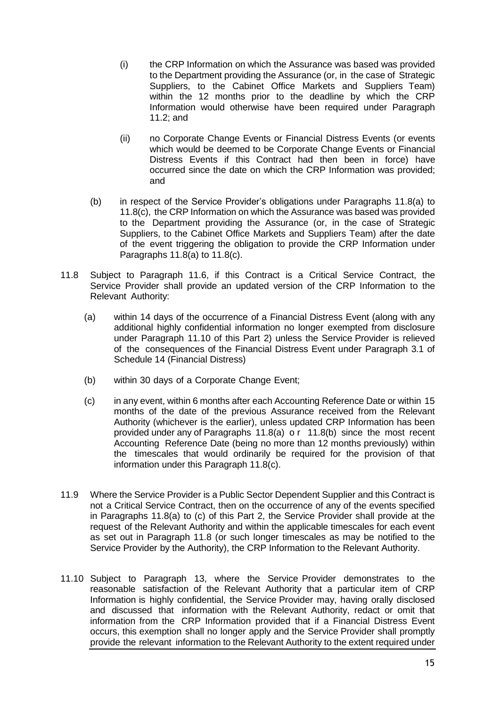- (i) the CRP Information on which the Assurance was based was provided to the Department providing the Assurance (or, in the case of Strategic Suppliers, to the Cabinet Office Markets and Suppliers Team) within the 12 months prior to the deadline by which the CRP Information would otherwise have been required under Paragraph 11.2; and
- (ii) no Corporate Change Events or Financial Distress Events (or events which would be deemed to be Corporate Change Events or Financial Distress Events if this Contract had then been in force) have occurred since the date on which the CRP Information was provided; and
- (b) in respect of the Service Provider's obligations under Paragraphs 11.8(a) to 11.8(c), the CRP Information on which the Assurance was based was provided to the Department providing the Assurance (or, in the case of Strategic Suppliers, to the Cabinet Office Markets and Suppliers Team) after the date of the event triggering the obligation to provide the CRP Information under Paragraphs  $11.8(a)$  to  $11.8(c)$ .
- 11.8 Subject to Paragraph 11.6, if this Contract is a Critical Service Contract, the Service Provider shall provide an updated version of the CRP Information to the Relevant Authority:
	- (a) within 14 days of the occurrence of a Financial Distress Event (along with any additional highly confidential information no longer exempted from disclosure under Paragraph 11.10 of this Part 2) unless the Service Provider is relieved of the consequences of the Financial Distress Event under Paragraph 3.1 of Schedule 14 (Financial Distress)
	- (b) within 30 days of a Corporate Change Event;
	- (c) in any event, within 6 months after each Accounting Reference Date or within 15 months of the date of the previous Assurance received from the Relevant Authority (whichever is the earlier), unless updated CRP Information has been provided under any of Paragraphs 11.8(a) o r 11.8(b) since the most recent Accounting Reference Date (being no more than 12 months previously) within the timescales that would ordinarily be required for the provision of that information under this Paragraph 11.8(c).
- 11.9 Where the Service Provider is a Public Sector Dependent Supplier and this Contract is not a Critical Service Contract, then on the occurrence of any of the events specified in Paragraphs 11.8(a) to (c) of this Part 2, the Service Provider shall provide at the request of the Relevant Authority and within the applicable timescales for each event as set out in Paragraph 11.8 (or such longer timescales as may be notified to the Service Provider by the Authority), the CRP Information to the Relevant Authority.
- 11.10 Subject to Paragraph 13, where the Service Provider demonstrates to the reasonable satisfaction of the Relevant Authority that a particular item of CRP Information is highly confidential, the Service Provider may, having orally disclosed and discussed that information with the Relevant Authority, redact or omit that information from the CRP Information provided that if a Financial Distress Event occurs, this exemption shall no longer apply and the Service Provider shall promptly provide the relevant information to the Relevant Authority to the extent required under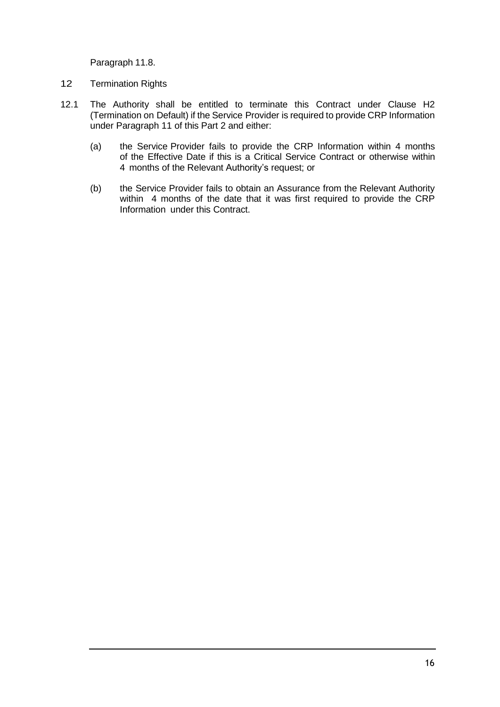Paragraph 11.8.

- 12 Termination Rights
- 12.1 The Authority shall be entitled to terminate this Contract under Clause H2 (Termination on Default) if the Service Provider is required to provide CRP Information under Paragraph 11 of this Part 2 and either:
	- (a) the Service Provider fails to provide the CRP Information within 4 months of the Effective Date if this is a Critical Service Contract or otherwise within 4 months of the Relevant Authority's request; or
	- (b) the Service Provider fails to obtain an Assurance from the Relevant Authority within 4 months of the date that it was first required to provide the CRP Information under this Contract.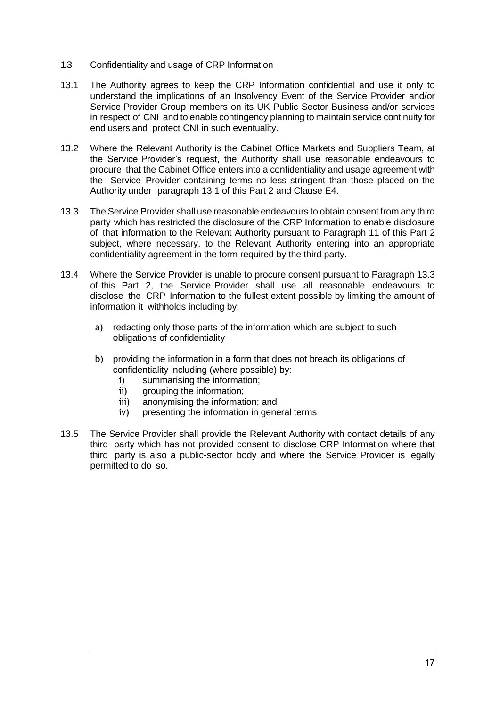- 13 Confidentiality and usage of CRP Information
- 13.1 The Authority agrees to keep the CRP Information confidential and use it only to understand the implications of an Insolvency Event of the Service Provider and/or Service Provider Group members on its UK Public Sector Business and/or services in respect of CNI and to enable contingency planning to maintain service continuity for end users and protect CNI in such eventuality.
- 13.2 Where the Relevant Authority is the Cabinet Office Markets and Suppliers Team, at the Service Provider's request, the Authority shall use reasonable endeavours to procure that the Cabinet Office enters into a confidentiality and usage agreement with the Service Provider containing terms no less stringent than those placed on the Authority under paragraph 13.1 of this Part 2 and Clause E4.
- 13.3 The Service Provider shall use reasonable endeavours to obtain consent from any third party which has restricted the disclosure of the CRP Information to enable disclosure of that information to the Relevant Authority pursuant to Paragraph 11 of this Part 2 subject, where necessary, to the Relevant Authority entering into an appropriate confidentiality agreement in the form required by the third party.
- 13.4 Where the Service Provider is unable to procure consent pursuant to Paragraph 13.3 of this Part 2, the Service Provider shall use all reasonable endeavours to disclose the CRP Information to the fullest extent possible by limiting the amount of information it withholds including by:
	- a) redacting only those parts of the information which are subject to such obligations of confidentiality
	- b) providing the information in a form that does not breach its obligations of confidentiality including (where possible) by:
		- i) summarising the information;
		- ii) grouping the information;
		- iii) anonymising the information; and
		- iv) presenting the information in general terms
- 13.5 The Service Provider shall provide the Relevant Authority with contact details of any third party which has not provided consent to disclose CRP Information where that third party is also a public-sector body and where the Service Provider is legally permitted to do so.